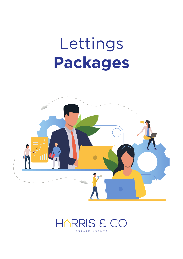## Lettings **Packages**



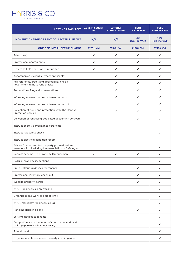

| <b>LETTINGS PACKAGES</b>                                                                               | <b>ADVERTISEMENT</b><br><b>ONLY</b> | <b>LET ONLY</b><br>(TENANT FIND) | <b>RENT</b><br><b>COLLECTION</b> | <b>FULL</b><br><b>MANAGEMENT</b> |
|--------------------------------------------------------------------------------------------------------|-------------------------------------|----------------------------------|----------------------------------|----------------------------------|
| <b>MONTHLY CHARGE OF RENT COLLECTED PLUS VAT.</b>                                                      | N/A                                 | N/A                              | 4%<br>(6% inc VAT)               | 10%<br>(12% inc VAT)             |
| ONE OFF INITIAL SET UP CHARGE                                                                          | $£175+Y$                            | £340+ Vat                        | £130+ Vat                        | £130+ Vat                        |
| Advertising                                                                                            | ✓                                   | ✓                                | ✓                                | ✓                                |
| Professional photographs                                                                               | ✓                                   | ✓                                | ✓                                | ✓                                |
| Order "To Let" board when requested                                                                    | ✓                                   | ✓                                | ✓                                | ✓                                |
| Accompanied viewings (where applicable)                                                                |                                     | ✓                                | ✓                                | ✓                                |
| Full reference, credit and affordability checks,<br>government right to rent checks                    |                                     | ✓                                | ✓                                | ✓                                |
| Preparation of legal documentations                                                                    |                                     | ✓                                | ✓                                | ✓                                |
| Informing relevant parties of tenant move in                                                           |                                     | ✓                                | ✓                                | ✓                                |
| Informing relevant parties of tenant move out                                                          |                                     |                                  | ✓                                | ✓                                |
| Collection of bond and protection with The Deposit<br><b>Protection Service</b>                        |                                     | ✓                                | ✓                                | ✓                                |
| Collection of rent using dedicated accounting software                                                 |                                     |                                  | ✓                                | ✓                                |
| Instruct energy performance certificate                                                                |                                     |                                  |                                  | ✓                                |
| Instruct gas safety check                                                                              |                                     |                                  |                                  | ✓                                |
| Instruct electrical condition report                                                                   |                                     |                                  |                                  | ✓                                |
| Advice from accredited property professional and<br>member of United Kingdom association of Safe Agent |                                     |                                  |                                  | ✓                                |
| Redress scheme 'The Property Ombudsman'                                                                | ✓                                   | ✓                                | ✓                                | ✓                                |
| Regular property inspections                                                                           |                                     |                                  |                                  | ✓                                |
| Pre-checkout guidelines for tenants                                                                    |                                     |                                  | ✓                                | ✓                                |
| Professional inventory check out                                                                       |                                     |                                  | ✓                                | ✓                                |
| Website property portal                                                                                |                                     |                                  | ✓                                | ✓                                |
| 24/7 Repair service on website                                                                         |                                     |                                  |                                  | ✓                                |
| Organise repair work to agreed limit                                                                   |                                     |                                  |                                  | ✓                                |
| 24/7 Emergency repair service log                                                                      |                                     |                                  |                                  | ✓                                |
| Handling deposit claims                                                                                |                                     |                                  | ✓                                | ✓                                |
| Serving notices to tenants                                                                             |                                     |                                  |                                  | ✓                                |
| Completion and submission of court paperwork and<br>bailiff paperwork where necessary                  |                                     |                                  |                                  | ✓                                |
| Attend court                                                                                           |                                     |                                  |                                  | ✓                                |
| Organise maintenance and property in void period                                                       |                                     |                                  |                                  | ✓                                |